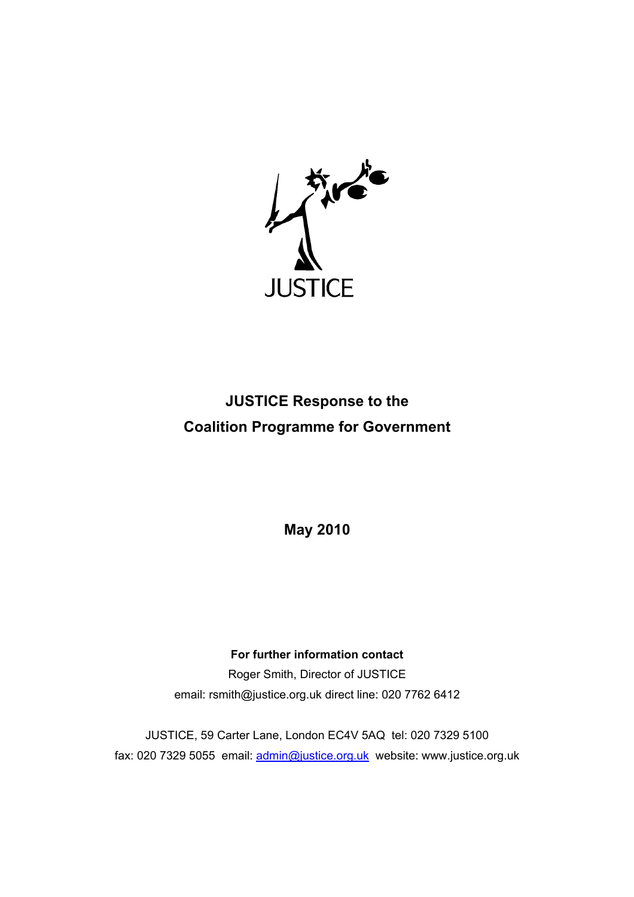

# **JUSTICE Response to the Coalition Programme for Government**

**May 2010** 

# **For further information contact**

Roger Smith, Director of JUSTICE email: rsmith@justice.org.uk direct line: 020 7762 6412

JUSTICE, 59 Carter Lane, London EC4V 5AQ tel: 020 7329 5100 fax: 020 7329 5055 email: admin@justice.org.uk website: www.justice.org.uk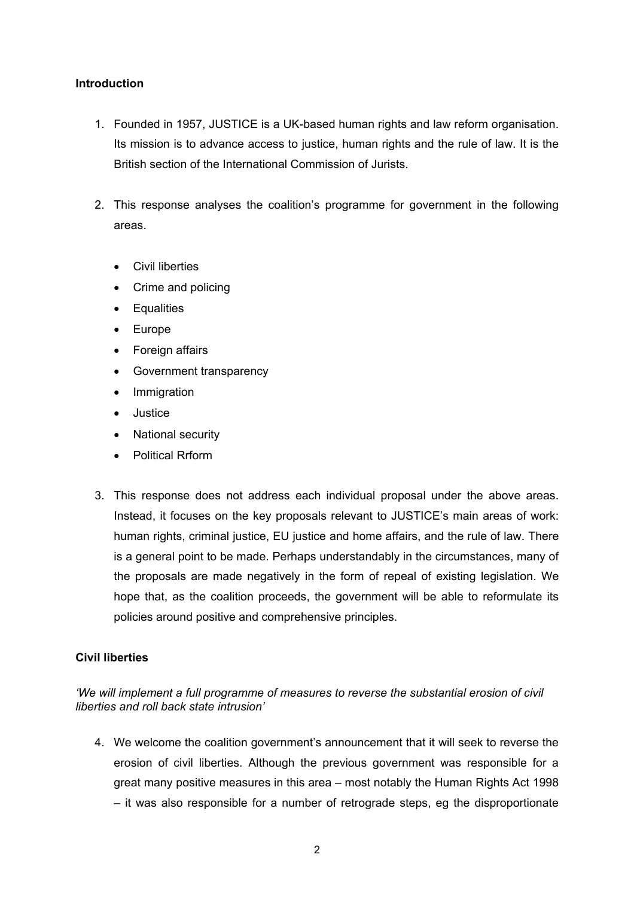## **Introduction**

- 1. Founded in 1957, JUSTICE is a UK-based human rights and law reform organisation. Its mission is to advance access to justice, human rights and the rule of law. It is the British section of the International Commission of Jurists.
- 2. This response analyses the coalition's programme for government in the following areas.
	- Civil liberties
	- Crime and policing
	- Equalities
	- Europe
	- Foreign affairs
	- Government transparency
	- Immigration
	- Justice
	- National security
	- Political Rrform
- 3. This response does not address each individual proposal under the above areas. Instead, it focuses on the key proposals relevant to JUSTICE's main areas of work: human rights, criminal justice, EU justice and home affairs, and the rule of law. There is a general point to be made. Perhaps understandably in the circumstances, many of the proposals are made negatively in the form of repeal of existing legislation. We hope that, as the coalition proceeds, the government will be able to reformulate its policies around positive and comprehensive principles.

# **Civil liberties**

*'We will implement a full programme of measures to reverse the substantial erosion of civil liberties and roll back state intrusion'* 

4. We welcome the coalition government's announcement that it will seek to reverse the erosion of civil liberties. Although the previous government was responsible for a great many positive measures in this area – most notably the Human Rights Act 1998 – it was also responsible for a number of retrograde steps, eg the disproportionate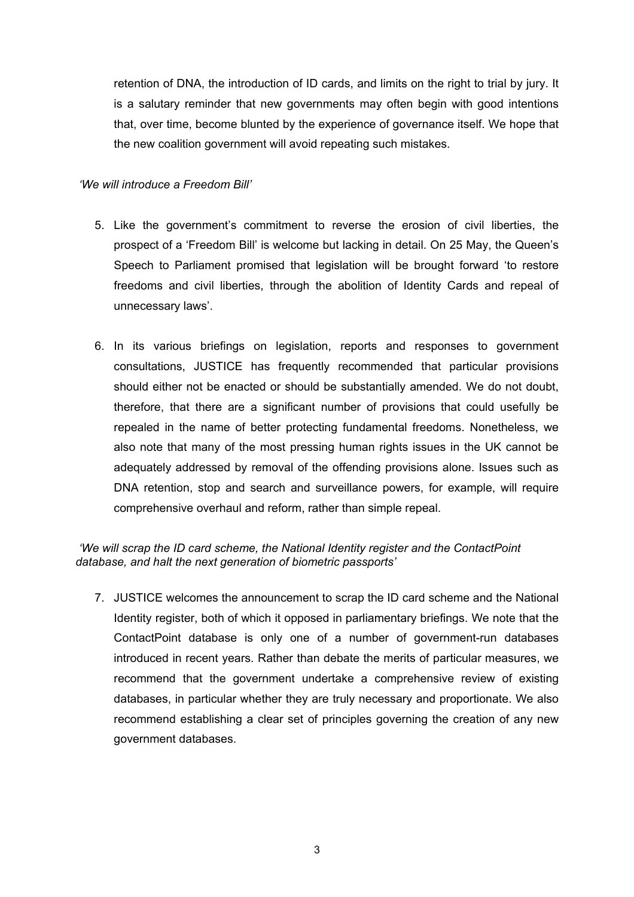retention of DNA, the introduction of ID cards, and limits on the right to trial by jury. It is a salutary reminder that new governments may often begin with good intentions that, over time, become blunted by the experience of governance itself. We hope that the new coalition government will avoid repeating such mistakes.

# *'We will introduce a Freedom Bill'*

- 5. Like the government's commitment to reverse the erosion of civil liberties, the prospect of a 'Freedom Bill' is welcome but lacking in detail. On 25 May, the Queen's Speech to Parliament promised that legislation will be brought forward 'to restore freedoms and civil liberties, through the abolition of Identity Cards and repeal of unnecessary laws'.
- 6. In its various briefings on legislation, reports and responses to government consultations, JUSTICE has frequently recommended that particular provisions should either not be enacted or should be substantially amended. We do not doubt, therefore, that there are a significant number of provisions that could usefully be repealed in the name of better protecting fundamental freedoms. Nonetheless, we also note that many of the most pressing human rights issues in the UK cannot be adequately addressed by removal of the offending provisions alone. Issues such as DNA retention, stop and search and surveillance powers, for example, will require comprehensive overhaul and reform, rather than simple repeal.

# *'We will scrap the ID card scheme, the National Identity register and the ContactPoint database, and halt the next generation of biometric passports'*

7. JUSTICE welcomes the announcement to scrap the ID card scheme and the National Identity register, both of which it opposed in parliamentary briefings. We note that the ContactPoint database is only one of a number of government-run databases introduced in recent years. Rather than debate the merits of particular measures, we recommend that the government undertake a comprehensive review of existing databases, in particular whether they are truly necessary and proportionate. We also recommend establishing a clear set of principles governing the creation of any new government databases.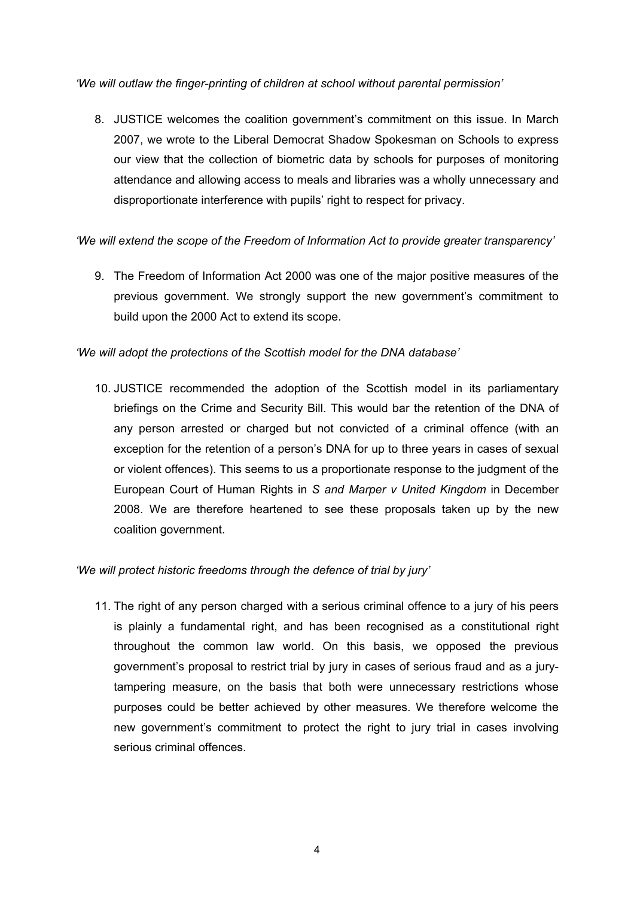*'We will outlaw the finger-printing of children at school without parental permission'* 

8. JUSTICE welcomes the coalition government's commitment on this issue. In March 2007, we wrote to the Liberal Democrat Shadow Spokesman on Schools to express our view that the collection of biometric data by schools for purposes of monitoring attendance and allowing access to meals and libraries was a wholly unnecessary and disproportionate interference with pupils' right to respect for privacy.

*'We will extend the scope of the Freedom of Information Act to provide greater transparency'* 

9. The Freedom of Information Act 2000 was one of the major positive measures of the previous government. We strongly support the new government's commitment to build upon the 2000 Act to extend its scope.

*'We will adopt the protections of the Scottish model for the DNA database'* 

10. JUSTICE recommended the adoption of the Scottish model in its parliamentary briefings on the Crime and Security Bill. This would bar the retention of the DNA of any person arrested or charged but not convicted of a criminal offence (with an exception for the retention of a person's DNA for up to three years in cases of sexual or violent offences). This seems to us a proportionate response to the judgment of the European Court of Human Rights in *S and Marper v United Kingdom* in December 2008. We are therefore heartened to see these proposals taken up by the new coalition government.

# *'We will protect historic freedoms through the defence of trial by jury'*

11. The right of any person charged with a serious criminal offence to a jury of his peers is plainly a fundamental right, and has been recognised as a constitutional right throughout the common law world. On this basis, we opposed the previous government's proposal to restrict trial by jury in cases of serious fraud and as a jurytampering measure, on the basis that both were unnecessary restrictions whose purposes could be better achieved by other measures. We therefore welcome the new government's commitment to protect the right to jury trial in cases involving serious criminal offences.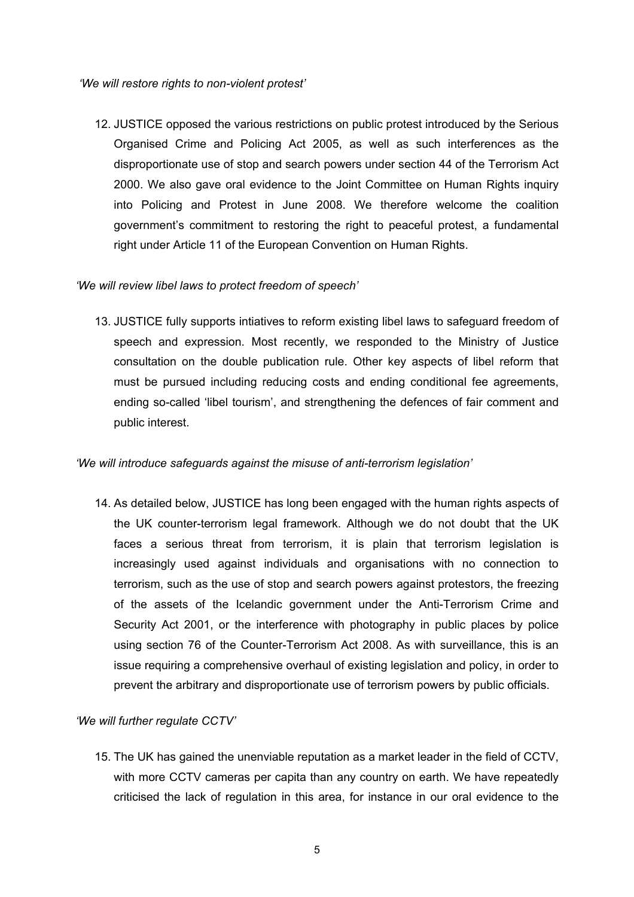*'We will restore rights to non-violent protest'* 

12. JUSTICE opposed the various restrictions on public protest introduced by the Serious Organised Crime and Policing Act 2005, as well as such interferences as the disproportionate use of stop and search powers under section 44 of the Terrorism Act 2000. We also gave oral evidence to the Joint Committee on Human Rights inquiry into Policing and Protest in June 2008. We therefore welcome the coalition government's commitment to restoring the right to peaceful protest, a fundamental right under Article 11 of the European Convention on Human Rights.

# *'We will review libel laws to protect freedom of speech'*

13. JUSTICE fully supports intiatives to reform existing libel laws to safeguard freedom of speech and expression. Most recently, we responded to the Ministry of Justice consultation on the double publication rule. Other key aspects of libel reform that must be pursued including reducing costs and ending conditional fee agreements, ending so-called 'libel tourism', and strengthening the defences of fair comment and public interest.

# *'We will introduce safeguards against the misuse of anti-terrorism legislation'*

14. As detailed below, JUSTICE has long been engaged with the human rights aspects of the UK counter-terrorism legal framework. Although we do not doubt that the UK faces a serious threat from terrorism, it is plain that terrorism legislation is increasingly used against individuals and organisations with no connection to terrorism, such as the use of stop and search powers against protestors, the freezing of the assets of the Icelandic government under the Anti-Terrorism Crime and Security Act 2001, or the interference with photography in public places by police using section 76 of the Counter-Terrorism Act 2008. As with surveillance, this is an issue requiring a comprehensive overhaul of existing legislation and policy, in order to prevent the arbitrary and disproportionate use of terrorism powers by public officials.

# *'We will further regulate CCTV'*

15. The UK has gained the unenviable reputation as a market leader in the field of CCTV, with more CCTV cameras per capita than any country on earth. We have repeatedly criticised the lack of regulation in this area, for instance in our oral evidence to the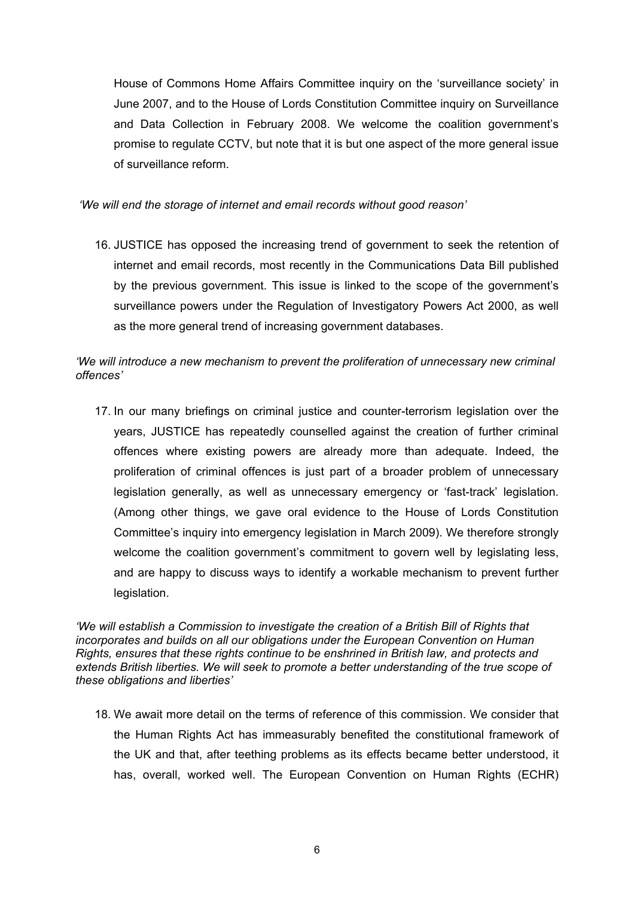House of Commons Home Affairs Committee inquiry on the 'surveillance society' in June 2007, and to the House of Lords Constitution Committee inquiry on Surveillance and Data Collection in February 2008. We welcome the coalition government's promise to regulate CCTV, but note that it is but one aspect of the more general issue of surveillance reform.

 *'We will end the storage of internet and email records without good reason'* 

16. JUSTICE has opposed the increasing trend of government to seek the retention of internet and email records, most recently in the Communications Data Bill published by the previous government. This issue is linked to the scope of the government's surveillance powers under the Regulation of Investigatory Powers Act 2000, as well as the more general trend of increasing government databases.

# *'We will introduce a new mechanism to prevent the proliferation of unnecessary new criminal offences'*

17. In our many briefings on criminal justice and counter-terrorism legislation over the years, JUSTICE has repeatedly counselled against the creation of further criminal offences where existing powers are already more than adequate. Indeed, the proliferation of criminal offences is just part of a broader problem of unnecessary legislation generally, as well as unnecessary emergency or 'fast-track' legislation. (Among other things, we gave oral evidence to the House of Lords Constitution Committee's inquiry into emergency legislation in March 2009). We therefore strongly welcome the coalition government's commitment to govern well by legislating less, and are happy to discuss ways to identify a workable mechanism to prevent further legislation.

*'We will establish a Commission to investigate the creation of a British Bill of Rights that incorporates and builds on all our obligations under the European Convention on Human Rights, ensures that these rights continue to be enshrined in British law, and protects and extends British liberties. We will seek to promote a better understanding of the true scope of these obligations and liberties'* 

18. We await more detail on the terms of reference of this commission. We consider that the Human Rights Act has immeasurably benefited the constitutional framework of the UK and that, after teething problems as its effects became better understood, it has, overall, worked well. The European Convention on Human Rights (ECHR)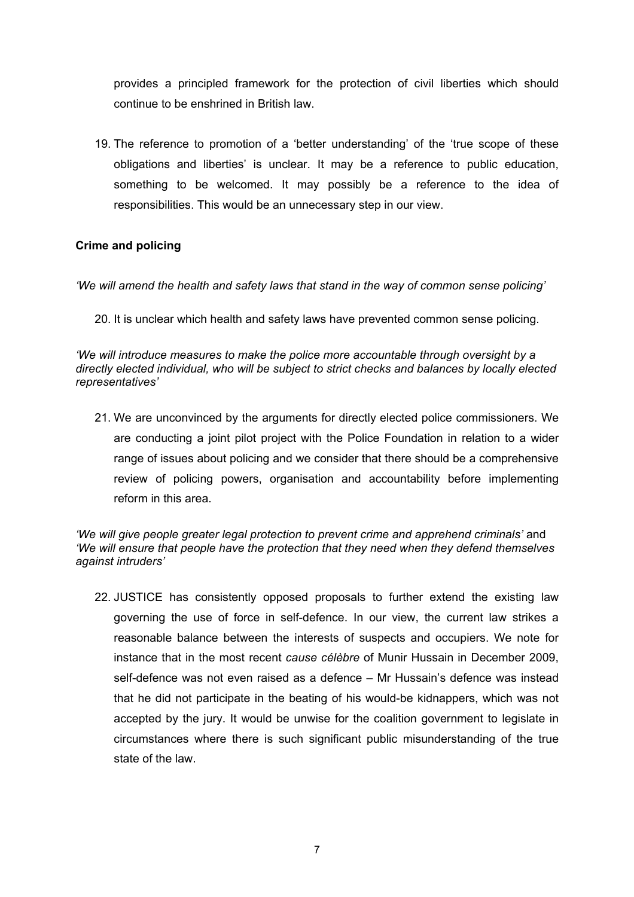provides a principled framework for the protection of civil liberties which should continue to be enshrined in British law.

19. The reference to promotion of a 'better understanding' of the 'true scope of these obligations and liberties' is unclear. It may be a reference to public education, something to be welcomed. It may possibly be a reference to the idea of responsibilities. This would be an unnecessary step in our view.

# **Crime and policing**

*'We will amend the health and safety laws that stand in the way of common sense policing'* 

20. It is unclear which health and safety laws have prevented common sense policing.

*'We will introduce measures to make the police more accountable through oversight by a directly elected individual, who will be subject to strict checks and balances by locally elected representatives'* 

21. We are unconvinced by the arguments for directly elected police commissioners. We are conducting a joint pilot project with the Police Foundation in relation to a wider range of issues about policing and we consider that there should be a comprehensive review of policing powers, organisation and accountability before implementing reform in this area.

*'We will give people greater legal protection to prevent crime and apprehend criminals'* and *'We will ensure that people have the protection that they need when they defend themselves against intruders'* 

22. JUSTICE has consistently opposed proposals to further extend the existing law governing the use of force in self-defence. In our view, the current law strikes a reasonable balance between the interests of suspects and occupiers. We note for instance that in the most recent *cause célèbre* of Munir Hussain in December 2009, self-defence was not even raised as a defence – Mr Hussain's defence was instead that he did not participate in the beating of his would-be kidnappers, which was not accepted by the jury. It would be unwise for the coalition government to legislate in circumstances where there is such significant public misunderstanding of the true state of the law.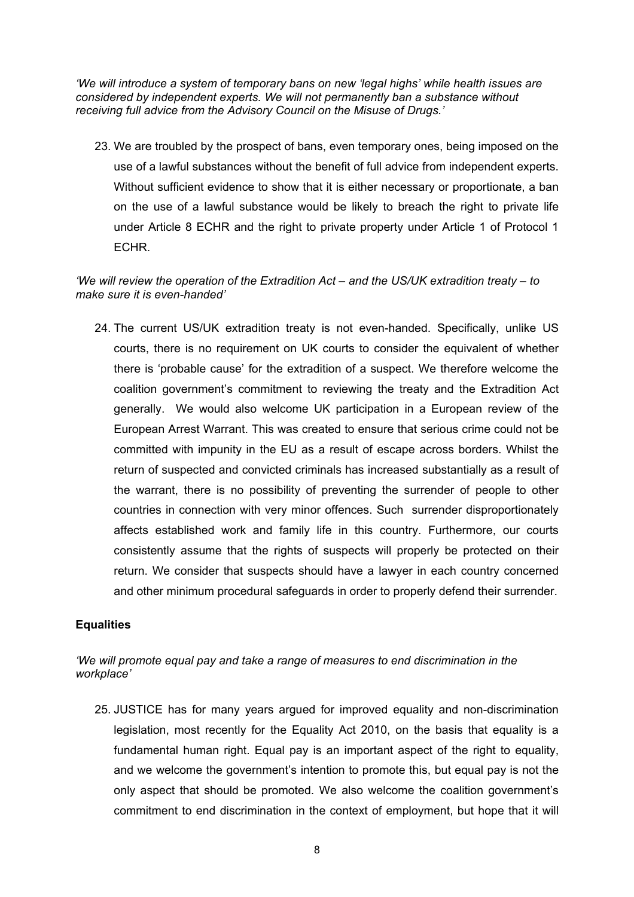*'We will introduce a system of temporary bans on new 'legal highs' while health issues are considered by independent experts. We will not permanently ban a substance without receiving full advice from the Advisory Council on the Misuse of Drugs.'* 

23. We are troubled by the prospect of bans, even temporary ones, being imposed on the use of a lawful substances without the benefit of full advice from independent experts. Without sufficient evidence to show that it is either necessary or proportionate, a ban on the use of a lawful substance would be likely to breach the right to private life under Article 8 ECHR and the right to private property under Article 1 of Protocol 1 ECHR.

# *'We will review the operation of the Extradition Act – and the US/UK extradition treaty – to make sure it is even-handed'*

24. The current US/UK extradition treaty is not even-handed. Specifically, unlike US courts, there is no requirement on UK courts to consider the equivalent of whether there is 'probable cause' for the extradition of a suspect. We therefore welcome the coalition government's commitment to reviewing the treaty and the Extradition Act generally. We would also welcome UK participation in a European review of the European Arrest Warrant. This was created to ensure that serious crime could not be committed with impunity in the EU as a result of escape across borders. Whilst the return of suspected and convicted criminals has increased substantially as a result of the warrant, there is no possibility of preventing the surrender of people to other countries in connection with very minor offences. Such surrender disproportionately affects established work and family life in this country. Furthermore, our courts consistently assume that the rights of suspects will properly be protected on their return. We consider that suspects should have a lawyer in each country concerned and other minimum procedural safeguards in order to properly defend their surrender.

# **Equalities**

# *'We will promote equal pay and take a range of measures to end discrimination in the workplace'*

25. JUSTICE has for many years argued for improved equality and non-discrimination legislation, most recently for the Equality Act 2010, on the basis that equality is a fundamental human right. Equal pay is an important aspect of the right to equality, and we welcome the government's intention to promote this, but equal pay is not the only aspect that should be promoted. We also welcome the coalition government's commitment to end discrimination in the context of employment, but hope that it will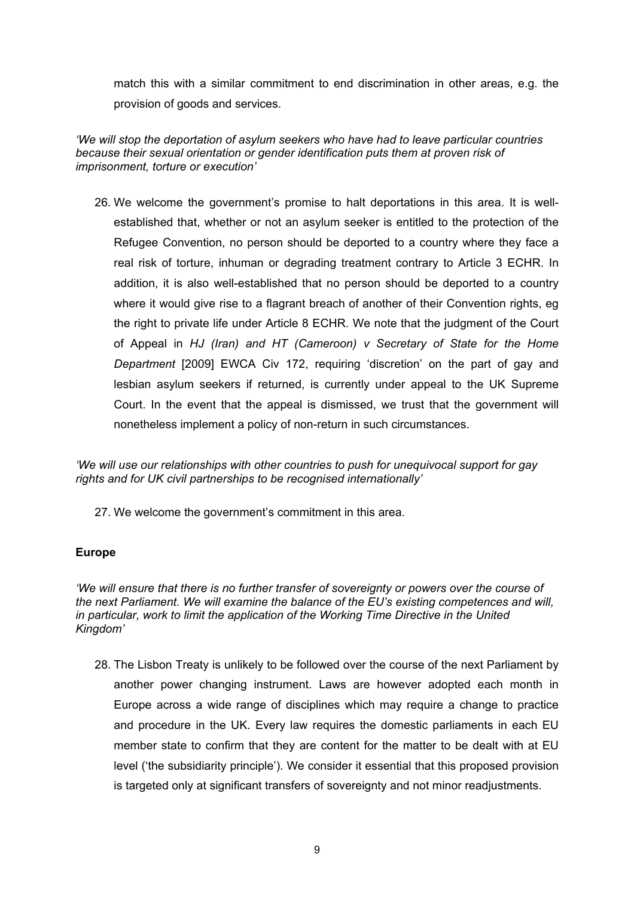match this with a similar commitment to end discrimination in other areas, e.g. the provision of goods and services.

# *'We will stop the deportation of asylum seekers who have had to leave particular countries because their sexual orientation or gender identification puts them at proven risk of imprisonment, torture or execution'*

26. We welcome the government's promise to halt deportations in this area. It is wellestablished that, whether or not an asylum seeker is entitled to the protection of the Refugee Convention, no person should be deported to a country where they face a real risk of torture, inhuman or degrading treatment contrary to Article 3 ECHR. In addition, it is also well-established that no person should be deported to a country where it would give rise to a flagrant breach of another of their Convention rights, eg the right to private life under Article 8 ECHR. We note that the judgment of the Court of Appeal in *HJ (Iran) and HT (Cameroon) v Secretary of State for the Home Department* [2009] EWCA Civ 172, requiring 'discretion' on the part of gay and lesbian asylum seekers if returned, is currently under appeal to the UK Supreme Court. In the event that the appeal is dismissed, we trust that the government will nonetheless implement a policy of non-return in such circumstances.

*'We will use our relationships with other countries to push for unequivocal support for gay rights and for UK civil partnerships to be recognised internationally'* 

27. We welcome the government's commitment in this area.

# **Europe**

*'We will ensure that there is no further transfer of sovereignty or powers over the course of the next Parliament. We will examine the balance of the EU's existing competences and will, in particular, work to limit the application of the Working Time Directive in the United Kingdom'* 

28. The Lisbon Treaty is unlikely to be followed over the course of the next Parliament by another power changing instrument. Laws are however adopted each month in Europe across a wide range of disciplines which may require a change to practice and procedure in the UK. Every law requires the domestic parliaments in each EU member state to confirm that they are content for the matter to be dealt with at EU level ('the subsidiarity principle'). We consider it essential that this proposed provision is targeted only at significant transfers of sovereignty and not minor readjustments.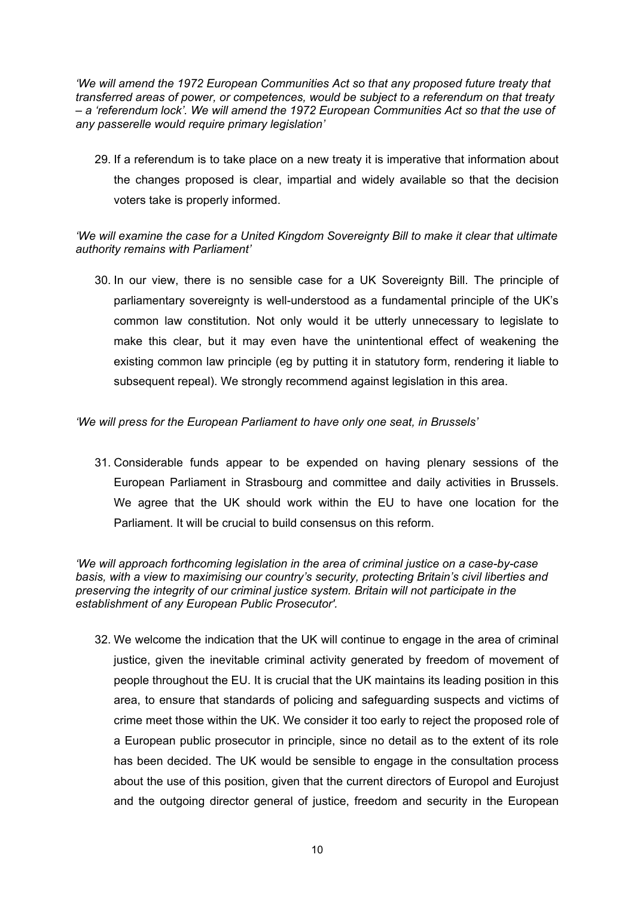*'We will amend the 1972 European Communities Act so that any proposed future treaty that transferred areas of power, or competences, would be subject to a referendum on that treaty – a 'referendum lock'. We will amend the 1972 European Communities Act so that the use of any passerelle would require primary legislation'* 

29. If a referendum is to take place on a new treaty it is imperative that information about the changes proposed is clear, impartial and widely available so that the decision voters take is properly informed.

# *'We will examine the case for a United Kingdom Sovereignty Bill to make it clear that ultimate authority remains with Parliament'*

30. In our view, there is no sensible case for a UK Sovereignty Bill. The principle of parliamentary sovereignty is well-understood as a fundamental principle of the UK's common law constitution. Not only would it be utterly unnecessary to legislate to make this clear, but it may even have the unintentional effect of weakening the existing common law principle (eg by putting it in statutory form, rendering it liable to subsequent repeal). We strongly recommend against legislation in this area.

# *'We will press for the European Parliament to have only one seat, in Brussels'*

31. Considerable funds appear to be expended on having plenary sessions of the European Parliament in Strasbourg and committee and daily activities in Brussels. We agree that the UK should work within the EU to have one location for the Parliament. It will be crucial to build consensus on this reform.

*'We will approach forthcoming legislation in the area of criminal justice on a case-by-case basis, with a view to maximising our country's security, protecting Britain's civil liberties and preserving the integrity of our criminal justice system. Britain will not participate in the establishment of any European Public Prosecutor'.* 

32. We welcome the indication that the UK will continue to engage in the area of criminal justice, given the inevitable criminal activity generated by freedom of movement of people throughout the EU. It is crucial that the UK maintains its leading position in this area, to ensure that standards of policing and safeguarding suspects and victims of crime meet those within the UK. We consider it too early to reject the proposed role of a European public prosecutor in principle, since no detail as to the extent of its role has been decided. The UK would be sensible to engage in the consultation process about the use of this position, given that the current directors of Europol and Eurojust and the outgoing director general of justice, freedom and security in the European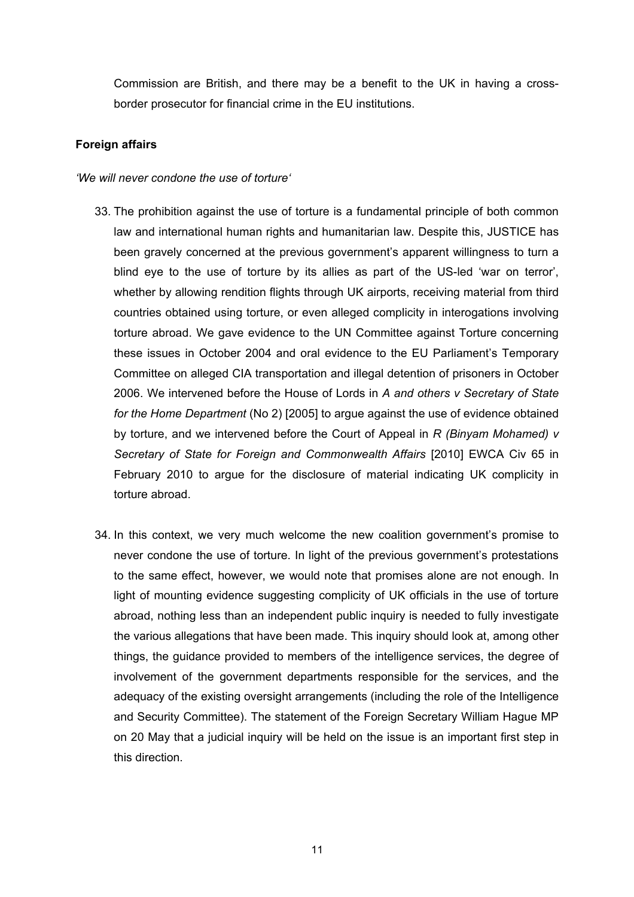Commission are British, and there may be a benefit to the UK in having a crossborder prosecutor for financial crime in the EU institutions.

# **Foreign affairs**

#### *'We will never condone the use of torture'*

- 33. The prohibition against the use of torture is a fundamental principle of both common law and international human rights and humanitarian law. Despite this, JUSTICE has been gravely concerned at the previous government's apparent willingness to turn a blind eye to the use of torture by its allies as part of the US-led 'war on terror', whether by allowing rendition flights through UK airports, receiving material from third countries obtained using torture, or even alleged complicity in interogations involving torture abroad. We gave evidence to the UN Committee against Torture concerning these issues in October 2004 and oral evidence to the EU Parliament's Temporary Committee on alleged CIA transportation and illegal detention of prisoners in October 2006. We intervened before the House of Lords in *A and others v Secretary of State for the Home Department* (No 2) [2005] to argue against the use of evidence obtained by torture, and we intervened before the Court of Appeal in *R (Binyam Mohamed) v Secretary of State for Foreign and Commonwealth Affairs* [2010] EWCA Civ 65 in February 2010 to argue for the disclosure of material indicating UK complicity in torture abroad.
- 34. In this context, we very much welcome the new coalition government's promise to never condone the use of torture. In light of the previous government's protestations to the same effect, however, we would note that promises alone are not enough. In light of mounting evidence suggesting complicity of UK officials in the use of torture abroad, nothing less than an independent public inquiry is needed to fully investigate the various allegations that have been made. This inquiry should look at, among other things, the guidance provided to members of the intelligence services, the degree of involvement of the government departments responsible for the services, and the adequacy of the existing oversight arrangements (including the role of the Intelligence and Security Committee). The statement of the Foreign Secretary William Hague MP on 20 May that a judicial inquiry will be held on the issue is an important first step in this direction.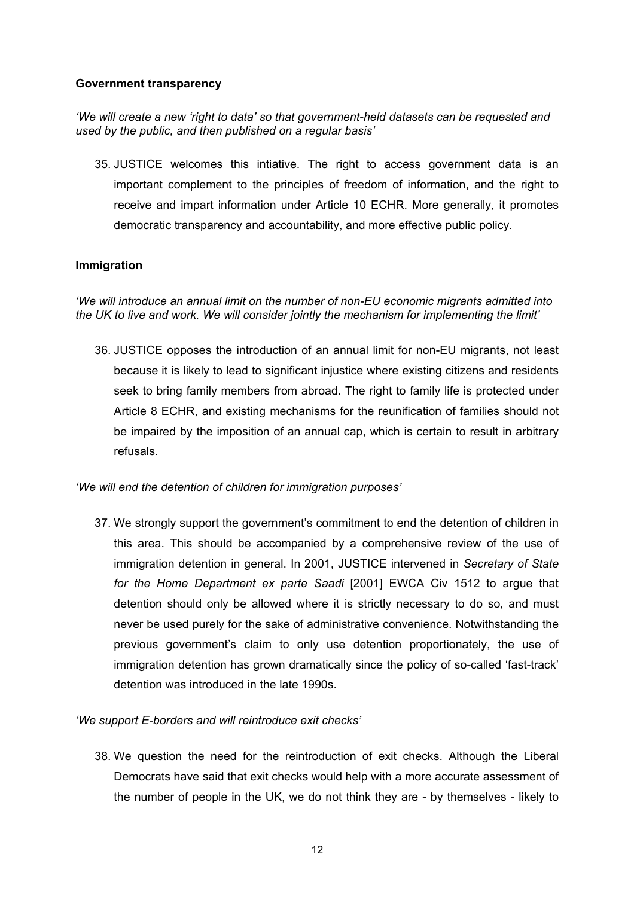## **Government transparency**

# *'We will create a new 'right to data' so that government-held datasets can be requested and used by the public, and then published on a regular basis'*

35. JUSTICE welcomes this intiative. The right to access government data is an important complement to the principles of freedom of information, and the right to receive and impart information under Article 10 ECHR. More generally, it promotes democratic transparency and accountability, and more effective public policy.

# **Immigration**

*'We will introduce an annual limit on the number of non-EU economic migrants admitted into the UK to live and work. We will consider jointly the mechanism for implementing the limit'* 

36. JUSTICE opposes the introduction of an annual limit for non-EU migrants, not least because it is likely to lead to significant injustice where existing citizens and residents seek to bring family members from abroad. The right to family life is protected under Article 8 ECHR, and existing mechanisms for the reunification of families should not be impaired by the imposition of an annual cap, which is certain to result in arbitrary refusals.

# *'We will end the detention of children for immigration purposes'*

37. We strongly support the government's commitment to end the detention of children in this area. This should be accompanied by a comprehensive review of the use of immigration detention in general. In 2001, JUSTICE intervened in *Secretary of State for the Home Department ex parte Saadi* [2001] EWCA Civ 1512 to argue that detention should only be allowed where it is strictly necessary to do so, and must never be used purely for the sake of administrative convenience. Notwithstanding the previous government's claim to only use detention proportionately, the use of immigration detention has grown dramatically since the policy of so-called 'fast-track' detention was introduced in the late 1990s.

# *'We support E-borders and will reintroduce exit checks'*

38. We question the need for the reintroduction of exit checks. Although the Liberal Democrats have said that exit checks would help with a more accurate assessment of the number of people in the UK, we do not think they are - by themselves - likely to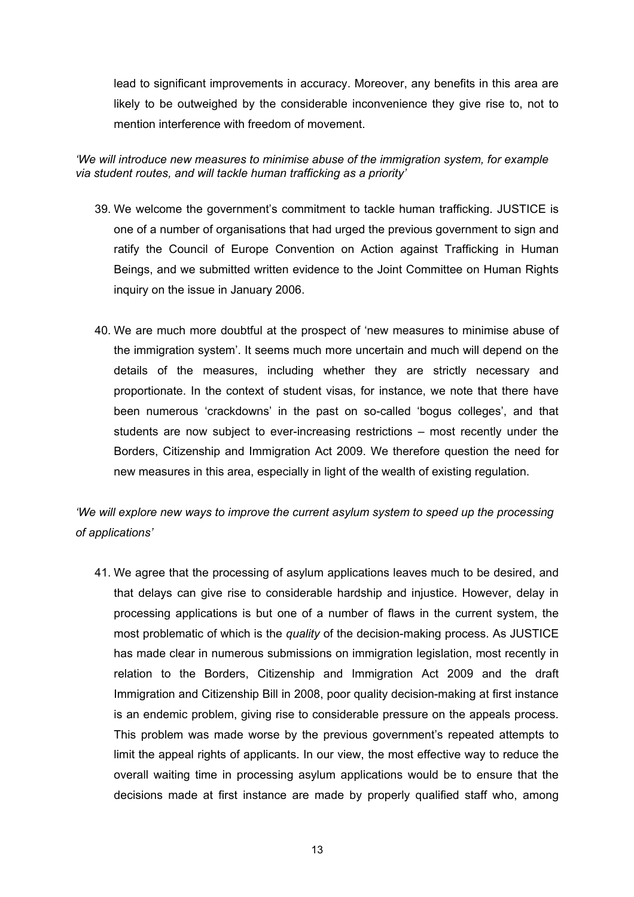lead to significant improvements in accuracy. Moreover, any benefits in this area are likely to be outweighed by the considerable inconvenience they give rise to, not to mention interference with freedom of movement.

# *'We will introduce new measures to minimise abuse of the immigration system, for example via student routes, and will tackle human trafficking as a priority'*

- 39. We welcome the government's commitment to tackle human trafficking. JUSTICE is one of a number of organisations that had urged the previous government to sign and ratify the Council of Europe Convention on Action against Trafficking in Human Beings, and we submitted written evidence to the Joint Committee on Human Rights inquiry on the issue in January 2006.
- 40. We are much more doubtful at the prospect of 'new measures to minimise abuse of the immigration system'. It seems much more uncertain and much will depend on the details of the measures, including whether they are strictly necessary and proportionate. In the context of student visas, for instance, we note that there have been numerous 'crackdowns' in the past on so-called 'bogus colleges', and that students are now subject to ever-increasing restrictions – most recently under the Borders, Citizenship and Immigration Act 2009. We therefore question the need for new measures in this area, especially in light of the wealth of existing regulation.

# *'We will explore new ways to improve the current asylum system to speed up the processing of applications'*

41. We agree that the processing of asylum applications leaves much to be desired, and that delays can give rise to considerable hardship and injustice. However, delay in processing applications is but one of a number of flaws in the current system, the most problematic of which is the *quality* of the decision-making process. As JUSTICE has made clear in numerous submissions on immigration legislation, most recently in relation to the Borders, Citizenship and Immigration Act 2009 and the draft Immigration and Citizenship Bill in 2008, poor quality decision-making at first instance is an endemic problem, giving rise to considerable pressure on the appeals process. This problem was made worse by the previous government's repeated attempts to limit the appeal rights of applicants. In our view, the most effective way to reduce the overall waiting time in processing asylum applications would be to ensure that the decisions made at first instance are made by properly qualified staff who, among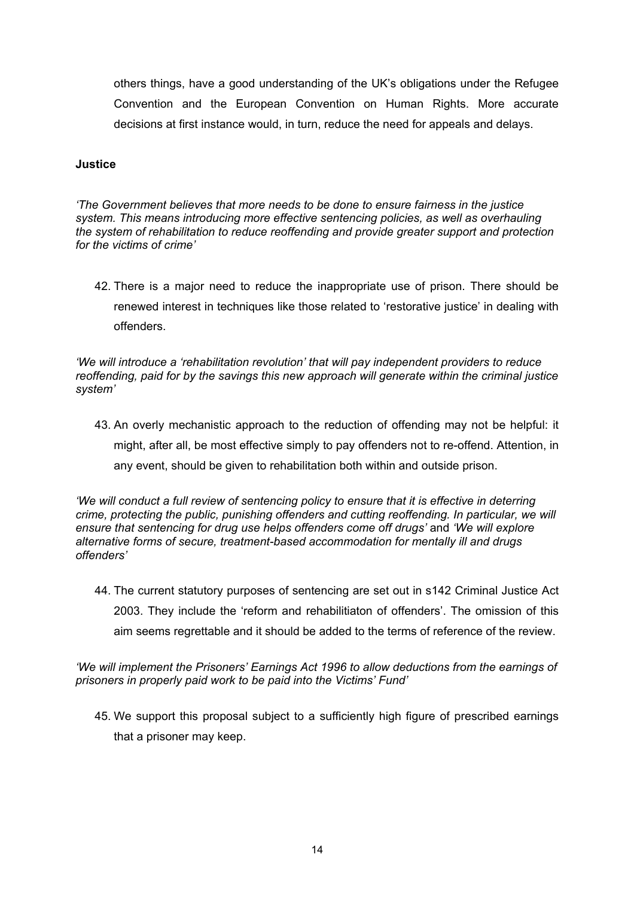others things, have a good understanding of the UK's obligations under the Refugee Convention and the European Convention on Human Rights. More accurate decisions at first instance would, in turn, reduce the need for appeals and delays.

#### **Justice**

*'The Government believes that more needs to be done to ensure fairness in the justice system. This means introducing more effective sentencing policies, as well as overhauling the system of rehabilitation to reduce reoffending and provide greater support and protection for the victims of crime'* 

42. There is a major need to reduce the inappropriate use of prison. There should be renewed interest in techniques like those related to 'restorative justice' in dealing with offenders.

*'We will introduce a 'rehabilitation revolution' that will pay independent providers to reduce reoffending, paid for by the savings this new approach will generate within the criminal justice system'* 

43. An overly mechanistic approach to the reduction of offending may not be helpful: it might, after all, be most effective simply to pay offenders not to re-offend. Attention, in any event, should be given to rehabilitation both within and outside prison.

*'We will conduct a full review of sentencing policy to ensure that it is effective in deterring crime, protecting the public, punishing offenders and cutting reoffending. In particular, we will ensure that sentencing for drug use helps offenders come off drugs'* and *'We will explore alternative forms of secure, treatment-based accommodation for mentally ill and drugs offenders'* 

44. The current statutory purposes of sentencing are set out in s142 Criminal Justice Act 2003. They include the 'reform and rehabilitiaton of offenders'. The omission of this aim seems regrettable and it should be added to the terms of reference of the review.

*'We will implement the Prisoners' Earnings Act 1996 to allow deductions from the earnings of prisoners in properly paid work to be paid into the Victims' Fund'* 

45. We support this proposal subject to a sufficiently high figure of prescribed earnings that a prisoner may keep.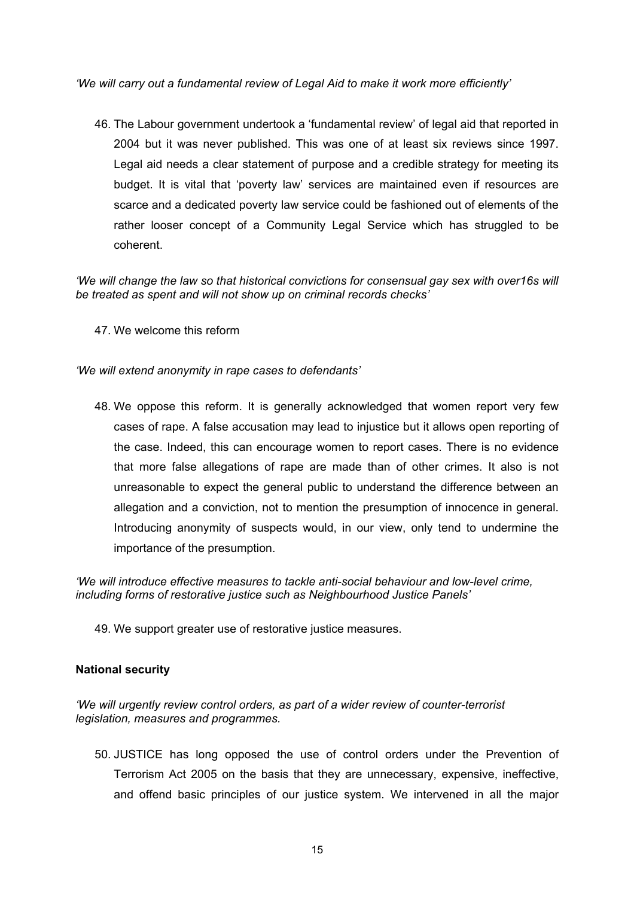*'We will carry out a fundamental review of Legal Aid to make it work more efficiently'* 

46. The Labour government undertook a 'fundamental review' of legal aid that reported in 2004 but it was never published. This was one of at least six reviews since 1997. Legal aid needs a clear statement of purpose and a credible strategy for meeting its budget. It is vital that 'poverty law' services are maintained even if resources are scarce and a dedicated poverty law service could be fashioned out of elements of the rather looser concept of a Community Legal Service which has struggled to be coherent.

*'We will change the law so that historical convictions for consensual gay sex with over16s will be treated as spent and will not show up on criminal records checks'* 

47. We welcome this reform

*'We will extend anonymity in rape cases to defendants'* 

48. We oppose this reform. It is generally acknowledged that women report very few cases of rape. A false accusation may lead to injustice but it allows open reporting of the case. Indeed, this can encourage women to report cases. There is no evidence that more false allegations of rape are made than of other crimes. It also is not unreasonable to expect the general public to understand the difference between an allegation and a conviction, not to mention the presumption of innocence in general. Introducing anonymity of suspects would, in our view, only tend to undermine the importance of the presumption.

*'We will introduce effective measures to tackle anti-social behaviour and low-level crime, including forms of restorative justice such as Neighbourhood Justice Panels'* 

49. We support greater use of restorative justice measures.

# **National security**

*'We will urgently review control orders, as part of a wider review of counter-terrorist legislation, measures and programmes.* 

50. JUSTICE has long opposed the use of control orders under the Prevention of Terrorism Act 2005 on the basis that they are unnecessary, expensive, ineffective, and offend basic principles of our justice system. We intervened in all the major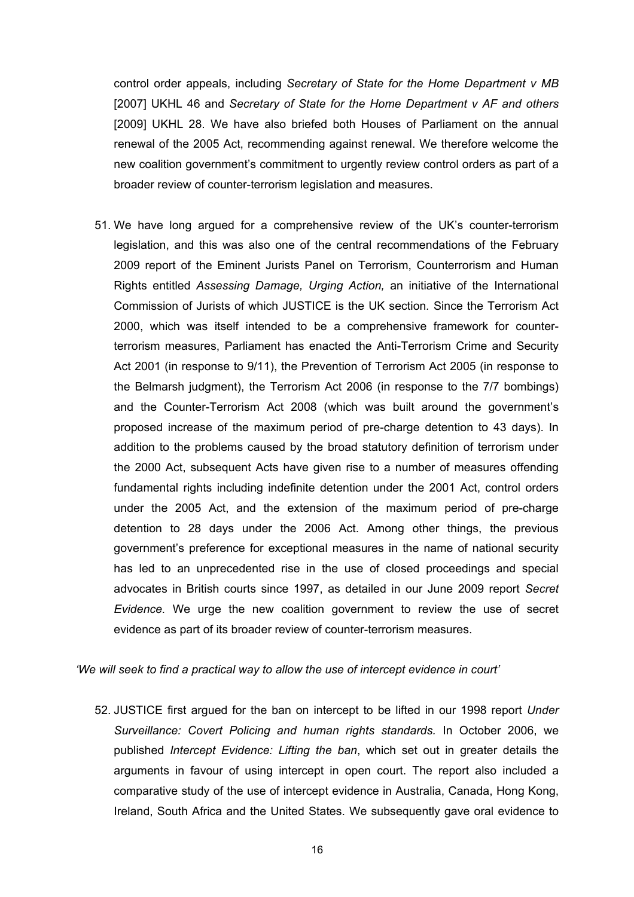control order appeals, including *Secretary of State for the Home Department v MB*  [2007] UKHL 46 and *Secretary of State for the Home Department v AF and others* [2009] UKHL 28. We have also briefed both Houses of Parliament on the annual renewal of the 2005 Act, recommending against renewal. We therefore welcome the new coalition government's commitment to urgently review control orders as part of a broader review of counter-terrorism legislation and measures.

51. We have long argued for a comprehensive review of the UK's counter-terrorism legislation, and this was also one of the central recommendations of the February 2009 report of the Eminent Jurists Panel on Terrorism, Counterrorism and Human Rights entitled *Assessing Damage, Urging Action,* an initiative of the International Commission of Jurists of which JUSTICE is the UK section*.* Since the Terrorism Act 2000, which was itself intended to be a comprehensive framework for counterterrorism measures, Parliament has enacted the Anti-Terrorism Crime and Security Act 2001 (in response to 9/11), the Prevention of Terrorism Act 2005 (in response to the Belmarsh judgment), the Terrorism Act 2006 (in response to the 7/7 bombings) and the Counter-Terrorism Act 2008 (which was built around the government's proposed increase of the maximum period of pre-charge detention to 43 days). In addition to the problems caused by the broad statutory definition of terrorism under the 2000 Act, subsequent Acts have given rise to a number of measures offending fundamental rights including indefinite detention under the 2001 Act, control orders under the 2005 Act, and the extension of the maximum period of pre-charge detention to 28 days under the 2006 Act. Among other things, the previous government's preference for exceptional measures in the name of national security has led to an unprecedented rise in the use of closed proceedings and special advocates in British courts since 1997, as detailed in our June 2009 report *Secret Evidence.* We urge the new coalition government to review the use of secret evidence as part of its broader review of counter-terrorism measures.

*'We will seek to find a practical way to allow the use of intercept evidence in court'*

52. JUSTICE first argued for the ban on intercept to be lifted in our 1998 report *Under Surveillance: Covert Policing and human rights standards.* In October 2006, we published *Intercept Evidence: Lifting the ban*, which set out in greater details the arguments in favour of using intercept in open court. The report also included a comparative study of the use of intercept evidence in Australia, Canada, Hong Kong, Ireland, South Africa and the United States. We subsequently gave oral evidence to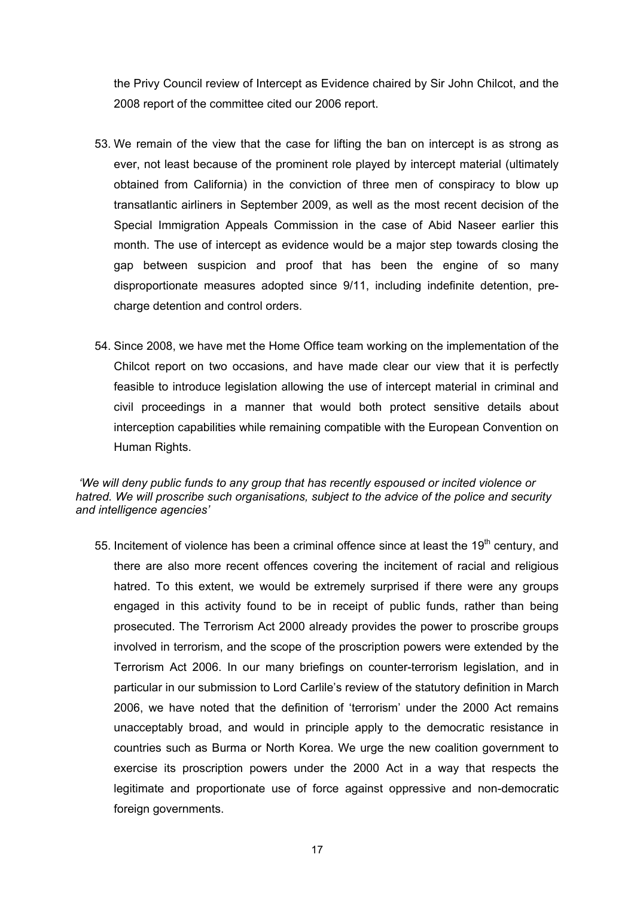the Privy Council review of Intercept as Evidence chaired by Sir John Chilcot, and the 2008 report of the committee cited our 2006 report.

- 53. We remain of the view that the case for lifting the ban on intercept is as strong as ever, not least because of the prominent role played by intercept material (ultimately obtained from California) in the conviction of three men of conspiracy to blow up transatlantic airliners in September 2009, as well as the most recent decision of the Special Immigration Appeals Commission in the case of Abid Naseer earlier this month. The use of intercept as evidence would be a major step towards closing the gap between suspicion and proof that has been the engine of so many disproportionate measures adopted since 9/11, including indefinite detention, precharge detention and control orders.
- 54. Since 2008, we have met the Home Office team working on the implementation of the Chilcot report on two occasions, and have made clear our view that it is perfectly feasible to introduce legislation allowing the use of intercept material in criminal and civil proceedings in a manner that would both protect sensitive details about interception capabilities while remaining compatible with the European Convention on Human Rights.

# *'We will deny public funds to any group that has recently espoused or incited violence or hatred. We will proscribe such organisations, subject to the advice of the police and security and intelligence agencies'*

55. Incitement of violence has been a criminal offence since at least the  $19<sup>th</sup>$  century, and there are also more recent offences covering the incitement of racial and religious hatred. To this extent, we would be extremely surprised if there were any groups engaged in this activity found to be in receipt of public funds, rather than being prosecuted. The Terrorism Act 2000 already provides the power to proscribe groups involved in terrorism, and the scope of the proscription powers were extended by the Terrorism Act 2006. In our many briefings on counter-terrorism legislation, and in particular in our submission to Lord Carlile's review of the statutory definition in March 2006, we have noted that the definition of 'terrorism' under the 2000 Act remains unacceptably broad, and would in principle apply to the democratic resistance in countries such as Burma or North Korea. We urge the new coalition government to exercise its proscription powers under the 2000 Act in a way that respects the legitimate and proportionate use of force against oppressive and non-democratic foreign governments.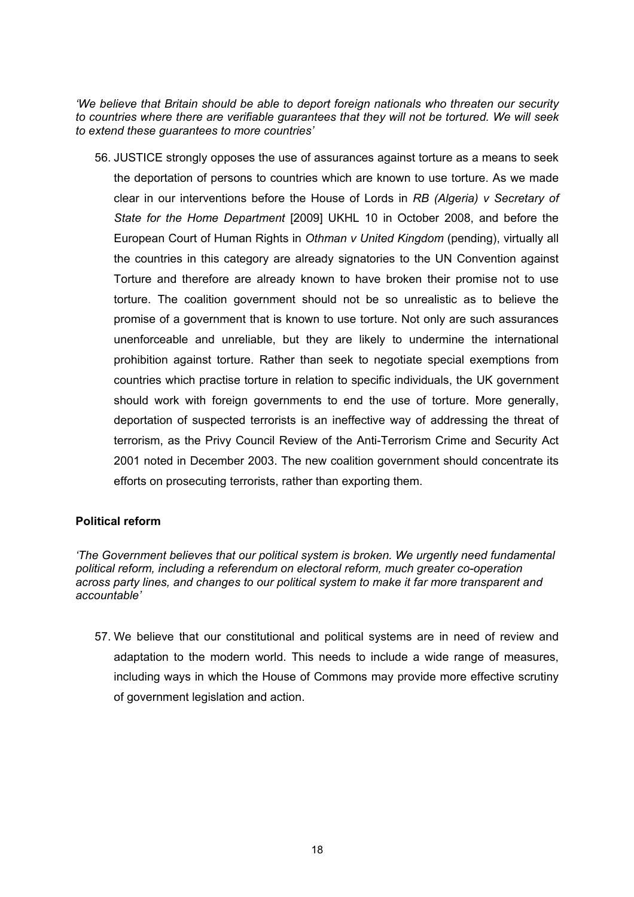*'We believe that Britain should be able to deport foreign nationals who threaten our security to countries where there are verifiable guarantees that they will not be tortured. We will seek to extend these guarantees to more countries'* 

56. JUSTICE strongly opposes the use of assurances against torture as a means to seek the deportation of persons to countries which are known to use torture. As we made clear in our interventions before the House of Lords in *RB (Algeria) v Secretary of State for the Home Department* [2009] UKHL 10 in October 2008, and before the European Court of Human Rights in *Othman v United Kingdom* (pending), virtually all the countries in this category are already signatories to the UN Convention against Torture and therefore are already known to have broken their promise not to use torture. The coalition government should not be so unrealistic as to believe the promise of a government that is known to use torture. Not only are such assurances unenforceable and unreliable, but they are likely to undermine the international prohibition against torture. Rather than seek to negotiate special exemptions from countries which practise torture in relation to specific individuals, the UK government should work with foreign governments to end the use of torture. More generally, deportation of suspected terrorists is an ineffective way of addressing the threat of terrorism, as the Privy Council Review of the Anti-Terrorism Crime and Security Act 2001 noted in December 2003. The new coalition government should concentrate its efforts on prosecuting terrorists, rather than exporting them.

# **Political reform**

*'The Government believes that our political system is broken. We urgently need fundamental political reform, including a referendum on electoral reform, much greater co-operation across party lines, and changes to our political system to make it far more transparent and accountable'* 

57. We believe that our constitutional and political systems are in need of review and adaptation to the modern world. This needs to include a wide range of measures, including ways in which the House of Commons may provide more effective scrutiny of government legislation and action.